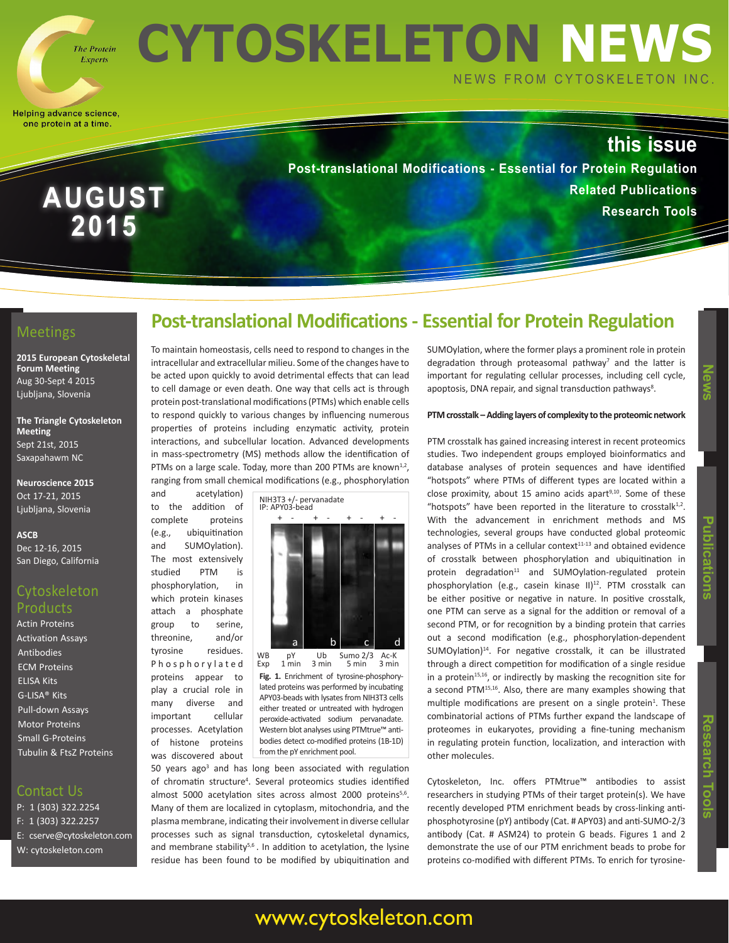

**AUGUST**

**2015**

**CYTOSKELETON NEWS** NEWS FROM CYTOSKELETON INC.

Helping advance science, one protein at a time.

# **this issue**

**Post-translational Modifications - Essential for Protein Regulation Related Publications Research Tools**

### **Meetings**

**2015 European Cytoskeletal Forum Meeting** Aug 30-Sept 4 2015 Ljubljana, Slovenia

**The Triangle Cytoskeleton Meeting** Sept 21st, 2015 Saxapahawm NC

**Neuroscience 2015** Oct 17-21, 2015 Ljubljana, Slovenia

**ASCB**

Dec 12-16, 2015 San Diego, California

## **Cytoskeleton** Products

Actin Proteins Activation Assays Antibodies ECM Proteins ELISA Kits G-LISA® Kits Pull-down Assays Motor Proteins Small G-Proteins Tubulin & FtsZ Proteins

### Contact Us

P: 1 (303) 322.2254 F: 1 (303) 322.2257 E: cserve@cytoskeleton.com W: cytoskeleton.com

# **Post-translational Modifications - Essential for Protein Regulation**

To maintain homeostasis, cells need to respond to changes in the intracellular and extracellular milieu. Some of the changes have to be acted upon quickly to avoid detrimental effects that can lead to cell damage or even death. One way that cells act is through protein post-translational modifications (PTMs) which enable cells to respond quickly to various changes by influencing numerous properties of proteins including enzymatic activity, protein interactions, and subcellular location. Advanced developments in mass-spectrometry (MS) methods allow the identification of PTMs on a large scale. Today, more than 200 PTMs are known<sup>1,2</sup>, ranging from small chemical modifications (e.g., phosphorylation

and acetylation) to the addition of complete proteins (e.g., ubiquitination and SUMOylation). The most extensively studied PTM is phosphorylation, in which protein kinases attach a phosphate group to serine, threonine, and/or tyrosine residues. P h o s p h o r y l a t e d proteins appear to play a crucial role in many diverse and important cellular processes. Acetylation of histone proteins was discovered about



lated proteins was performed by incubating APY03-beads with lysates from NIH3T3 cells either treated or untreated with hydrogen peroxide-activated sodium pervanadate. Western blot analyses using PTMtrue™ antibodies detect co-modified proteins (1B-1D) from the pY enrichment pool.

www.cytoskeleton.com

50 years ago<sup>3</sup> and has long been associated with regulation of chromatin structure<sup>4</sup>. Several proteomics studies identified almost 5000 acetylation sites across almost 2000 proteins<sup>5,6</sup>. Many of them are localized in cytoplasm, mitochondria, and the plasma membrane, indicating their involvement in diverse cellular processes such as signal transduction, cytoskeletal dynamics, and membrane stability<sup>5,6</sup>. In addition to acetylation, the lysine residue has been found to be modified by ubiquitination and SUMOylation, where the former plays a prominent role in protein degradation through proteasomal pathway<sup>7</sup> and the latter is important for regulating cellular processes, including cell cycle, apoptosis, DNA repair, and signal transduction pathways<sup>8</sup>.

#### **PTM crosstalk – Adding layers of complexity to the proteomic network**

PTM crosstalk has gained increasing interest in recent proteomics studies. Two independent groups employed bioinformatics and database analyses of protein sequences and have identified "hotspots" where PTMs of different types are located within a close proximity, about 15 amino acids apart $9,10$ . Some of these "hotspots" have been reported in the literature to crosstalk $1,2$ . With the advancement in enrichment methods and MS technologies, several groups have conducted global proteomic analyses of PTMs in a cellular context $11-13$  and obtained evidence of crosstalk between phosphorylation and ubiquitination in protein degradation<sup>11</sup> and SUMOylation-regulated protein phosphorylation (e.g., casein kinase II)<sup>12</sup>. PTM crosstalk can be either positive or negative in nature. In positive crosstalk, one PTM can serve as a signal for the addition or removal of a second PTM, or for recognition by a binding protein that carries out a second modification (e.g., phosphorylation-dependent  $SUMOylation$ <sup>14</sup>. For negative crosstalk, it can be illustrated through a direct competition for modification of a single residue in a protein $15,16$ , or indirectly by masking the recognition site for a second PTM<sup>15,16</sup>. Also, there are many examples showing that multiple modifications are present on a single protein<sup>1</sup>. These combinatorial actions of PTMs further expand the landscape of proteomes in eukaryotes, providing a fine-tuning mechanism in regulating protein function, localization, and interaction with other molecules.

Cytoskeleton, Inc. offers PTMtrue™ antibodies to assist researchers in studying PTMs of their target protein(s). We have recently developed PTM enrichment beads by cross-linking antiphosphotyrosine (pY) antibody (Cat. # APY03) and anti-SUMO-2/3 antibody (Cat. # ASM24) to protein G beads. Figures 1 and 2 demonstrate the use of our PTM enrichment beads to probe for proteins co-modified with different PTMs. To enrich for tyrosine-